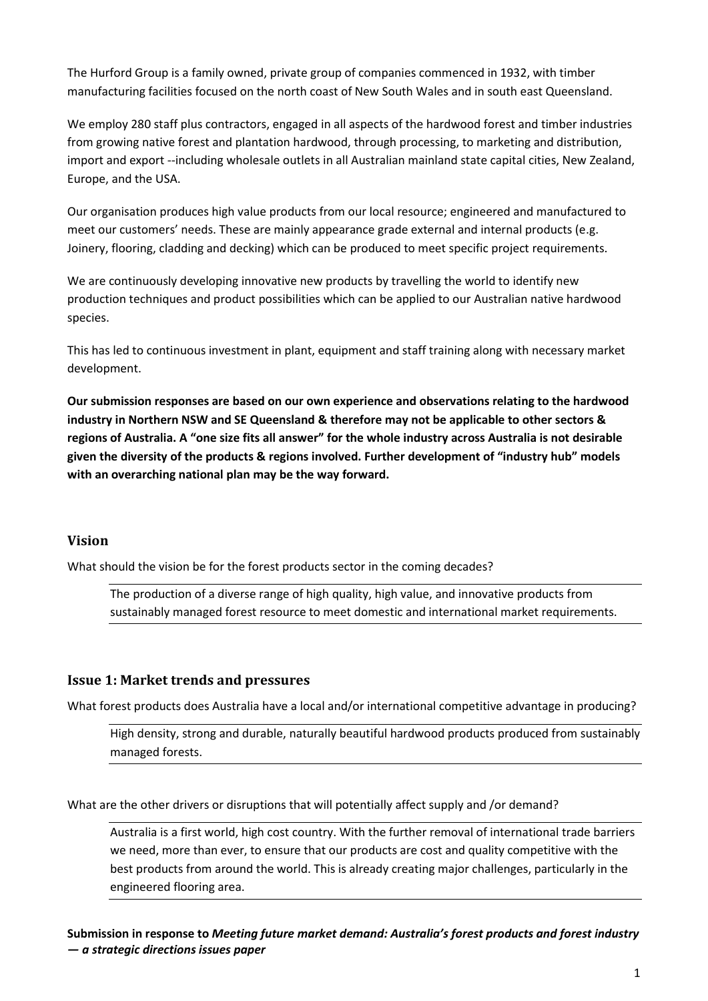The Hurford Group is a family owned, private group of companies commenced in 1932, with timber manufacturing facilities focused on the north coast of New South Wales and in south east Queensland.

We employ 280 staff plus contractors, engaged in all aspects of the hardwood forest and timber industries from growing native forest and plantation hardwood, through processing, to marketing and distribution, import and export --including wholesale outlets in all Australian mainland state capital cities, New Zealand, Europe, and the USA.

Our organisation produces high value products from our local resource; engineered and manufactured to meet our customers' needs. These are mainly appearance grade external and internal products (e.g. Joinery, flooring, cladding and decking) which can be produced to meet specific project requirements.

We are continuously developing innovative new products by travelling the world to identify new production techniques and product possibilities which can be applied to our Australian native hardwood species.

This has led to continuous investment in plant, equipment and staff training along with necessary market development.

**Our submission responses are based on our own experience and observations relating to the hardwood industry in Northern NSW and SE Queensland & therefore may not be applicable to other sectors & regions of Australia. A "one size fits all answer" for the whole industry across Australia is not desirable given the diversity of the products & regions involved. Further development of "industry hub" models with an overarching national plan may be the way forward.**

# **Vision**

What should the vision be for the forest products sector in the coming decades?

The production of a diverse range of high quality, high value, and innovative products from sustainably managed forest resource to meet domestic and international market requirements.

# **Issue 1: Market trends and pressures**

What forest products does Australia have a local and/or international competitive advantage in producing?

High density, strong and durable, naturally beautiful hardwood products produced from sustainably managed forests.

What are the other drivers or disruptions that will potentially affect supply and /or demand?

Australia is a first world, high cost country. With the further removal of international trade barriers we need, more than ever, to ensure that our products are cost and quality competitive with the best products from around the world. This is already creating major challenges, particularly in the engineered flooring area.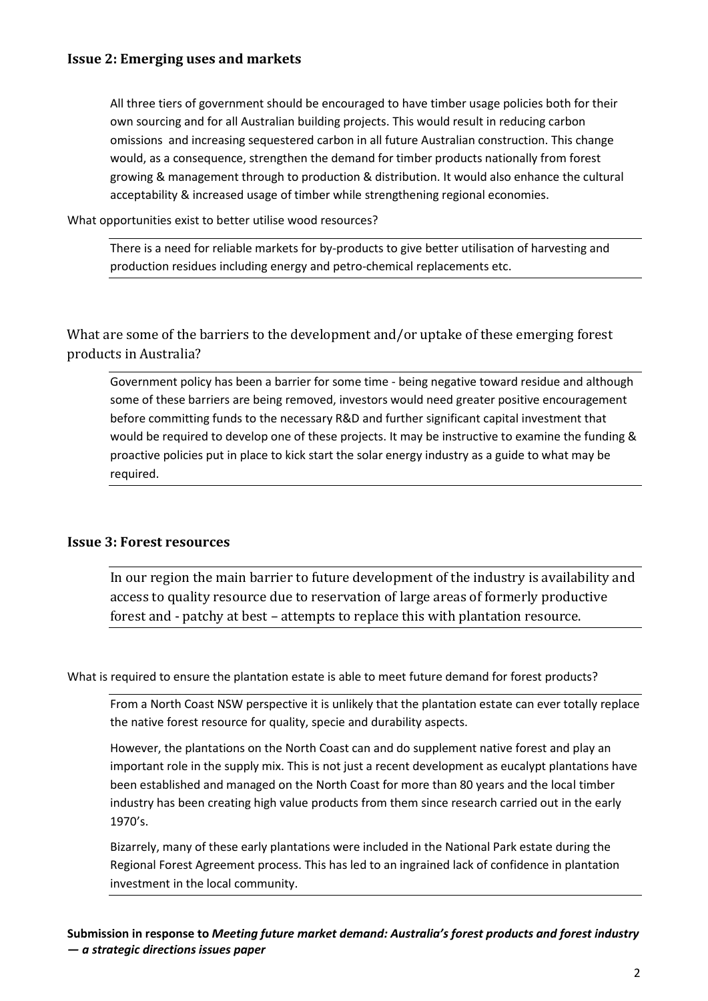## **Issue 2: Emerging uses and markets**

All three tiers of government should be encouraged to have timber usage policies both for their own sourcing and for all Australian building projects. This would result in reducing carbon omissions and increasing sequestered carbon in all future Australian construction. This change would, as a consequence, strengthen the demand for timber products nationally from forest growing & management through to production & distribution. It would also enhance the cultural acceptability & increased usage of timber while strengthening regional economies.

What opportunities exist to better utilise wood resources?

There is a need for reliable markets for by-products to give better utilisation of harvesting and production residues including energy and petro-chemical replacements etc.

What are some of the barriers to the development and/or uptake of these emerging forest products in Australia?

Government policy has been a barrier for some time - being negative toward residue and although some of these barriers are being removed, investors would need greater positive encouragement before committing funds to the necessary R&D and further significant capital investment that would be required to develop one of these projects. It may be instructive to examine the funding & proactive policies put in place to kick start the solar energy industry as a guide to what may be required.

## **Issue 3: Forest resources**

In our region the main barrier to future development of the industry is availability and access to quality resource due to reservation of large areas of formerly productive forest and - patchy at best – attempts to replace this with plantation resource.

What is required to ensure the plantation estate is able to meet future demand for forest products?

From a North Coast NSW perspective it is unlikely that the plantation estate can ever totally replace the native forest resource for quality, specie and durability aspects.

However, the plantations on the North Coast can and do supplement native forest and play an important role in the supply mix. This is not just a recent development as eucalypt plantations have been established and managed on the North Coast for more than 80 years and the local timber industry has been creating high value products from them since research carried out in the early 1970's.

Bizarrely, many of these early plantations were included in the National Park estate during the Regional Forest Agreement process. This has led to an ingrained lack of confidence in plantation investment in the local community.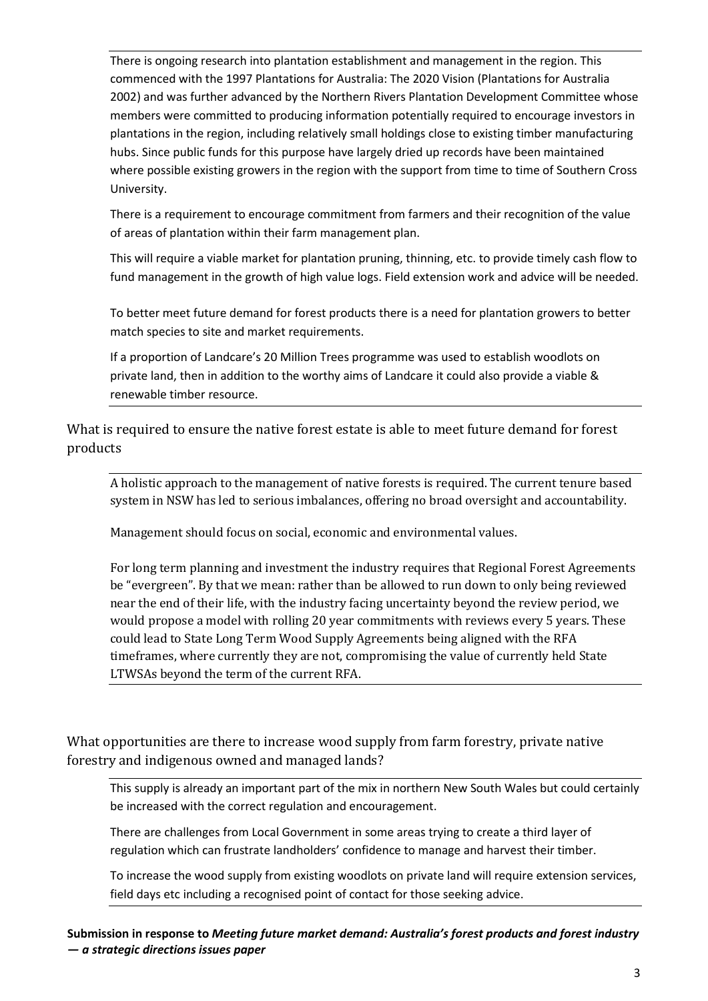There is ongoing research into plantation establishment and management in the region. This commenced with the 1997 Plantations for Australia: The 2020 Vision (Plantations for Australia 2002) and was further advanced by the Northern Rivers Plantation Development Committee whose members were committed to producing information potentially required to encourage investors in plantations in the region, including relatively small holdings close to existing timber manufacturing hubs. Since public funds for this purpose have largely dried up records have been maintained where possible existing growers in the region with the support from time to time of Southern Cross University.

There is a requirement to encourage commitment from farmers and their recognition of the value of areas of plantation within their farm management plan.

This will require a viable market for plantation pruning, thinning, etc. to provide timely cash flow to fund management in the growth of high value logs. Field extension work and advice will be needed.

To better meet future demand for forest products there is a need for plantation growers to better match species to site and market requirements.

If a proportion of Landcare's 20 Million Trees programme was used to establish woodlots on private land, then in addition to the worthy aims of Landcare it could also provide a viable & renewable timber resource.

What is required to ensure the native forest estate is able to meet future demand for forest products

A holistic approach to the management of native forests is required. The current tenure based system in NSW has led to serious imbalances, offering no broad oversight and accountability.

Management should focus on social, economic and environmental values.

For long term planning and investment the industry requires that Regional Forest Agreements be "evergreen". By that we mean: rather than be allowed to run down to only being reviewed near the end of their life, with the industry facing uncertainty beyond the review period, we would propose a model with rolling 20 year commitments with reviews every 5 years. These could lead to State Long Term Wood Supply Agreements being aligned with the RFA timeframes, where currently they are not, compromising the value of currently held State LTWSAs beyond the term of the current RFA.

What opportunities are there to increase wood supply from farm forestry, private native forestry and indigenous owned and managed lands?

This supply is already an important part of the mix in northern New South Wales but could certainly be increased with the correct regulation and encouragement.

There are challenges from Local Government in some areas trying to create a third layer of regulation which can frustrate landholders' confidence to manage and harvest their timber.

To increase the wood supply from existing woodlots on private land will require extension services, field days etc including a recognised point of contact for those seeking advice.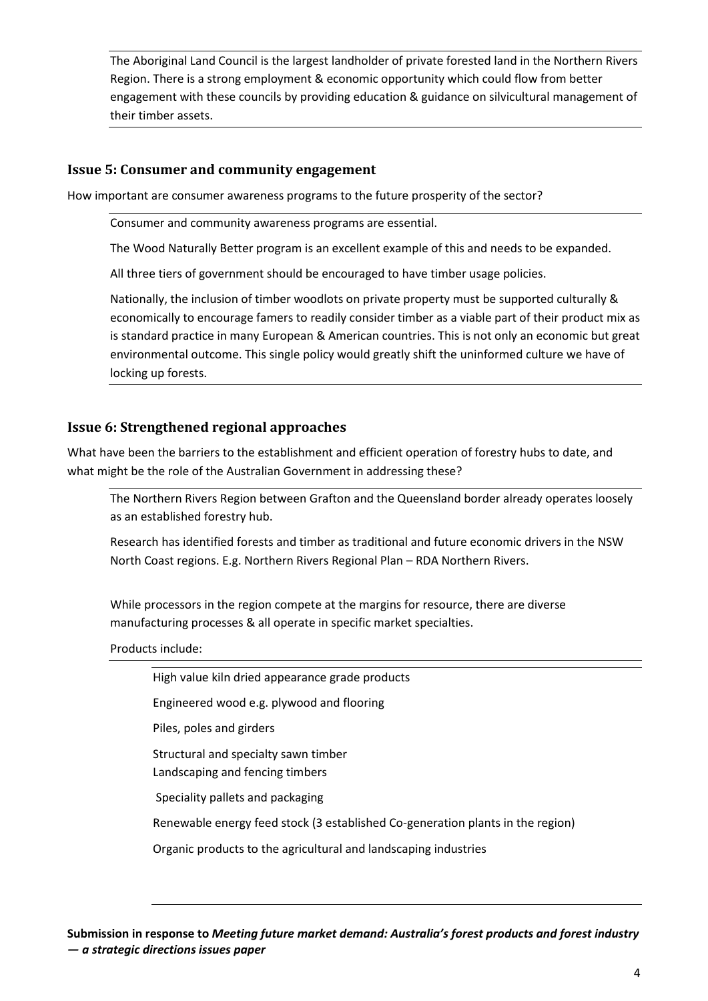The Aboriginal Land Council is the largest landholder of private forested land in the Northern Rivers Region. There is a strong employment & economic opportunity which could flow from better engagement with these councils by providing education & guidance on silvicultural management of their timber assets.

## **Issue 5: Consumer and community engagement**

How important are consumer awareness programs to the future prosperity of the sector?

Consumer and community awareness programs are essential.

The Wood Naturally Better program is an excellent example of this and needs to be expanded.

All three tiers of government should be encouraged to have timber usage policies.

Nationally, the inclusion of timber woodlots on private property must be supported culturally & economically to encourage famers to readily consider timber as a viable part of their product mix as is standard practice in many European & American countries. This is not only an economic but great environmental outcome. This single policy would greatly shift the uninformed culture we have of locking up forests.

# **Issue 6: Strengthened regional approaches**

What have been the barriers to the establishment and efficient operation of forestry hubs to date, and what might be the role of the Australian Government in addressing these?

The Northern Rivers Region between Grafton and the Queensland border already operates loosely as an established forestry hub.

Research has identified forests and timber as traditional and future economic drivers in the NSW North Coast regions. E.g. Northern Rivers Regional Plan – RDA Northern Rivers.

While processors in the region compete at the margins for resource, there are diverse manufacturing processes & all operate in specific market specialties.

Products include:

High value kiln dried appearance grade products

Engineered wood e.g. plywood and flooring

Piles, poles and girders

Structural and specialty sawn timber

Landscaping and fencing timbers

Speciality pallets and packaging

Renewable energy feed stock (3 established Co-generation plants in the region)

Organic products to the agricultural and landscaping industries